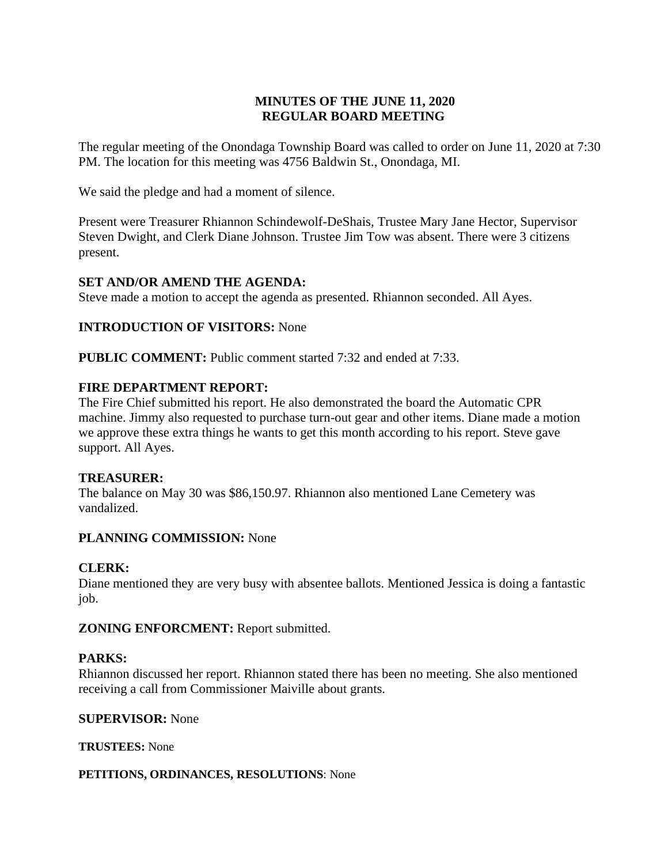# **MINUTES OF THE JUNE 11, 2020 REGULAR BOARD MEETING**

The regular meeting of the Onondaga Township Board was called to order on June 11, 2020 at 7:30 PM. The location for this meeting was 4756 Baldwin St., Onondaga, MI.

We said the pledge and had a moment of silence.

Present were Treasurer Rhiannon Schindewolf-DeShais, Trustee Mary Jane Hector, Supervisor Steven Dwight, and Clerk Diane Johnson. Trustee Jim Tow was absent. There were 3 citizens present.

# **SET AND/OR AMEND THE AGENDA:**

Steve made a motion to accept the agenda as presented. Rhiannon seconded. All Ayes.

## **INTRODUCTION OF VISITORS:** None

**PUBLIC COMMENT:** Public comment started 7:32 and ended at 7:33.

## **FIRE DEPARTMENT REPORT:**

The Fire Chief submitted his report. He also demonstrated the board the Automatic CPR machine. Jimmy also requested to purchase turn-out gear and other items. Diane made a motion we approve these extra things he wants to get this month according to his report. Steve gave support. All Ayes.

## **TREASURER:**

The balance on May 30 was \$86,150.97. Rhiannon also mentioned Lane Cemetery was vandalized.

## **PLANNING COMMISSION:** None

## **CLERK:**

Diane mentioned they are very busy with absentee ballots. Mentioned Jessica is doing a fantastic job.

**ZONING ENFORCMENT:** Report submitted.

## **PARKS:**

Rhiannon discussed her report. Rhiannon stated there has been no meeting. She also mentioned receiving a call from Commissioner Maiville about grants.

#### **SUPERVISOR:** None

**TRUSTEES:** None

#### **PETITIONS, ORDINANCES, RESOLUTIONS**: None